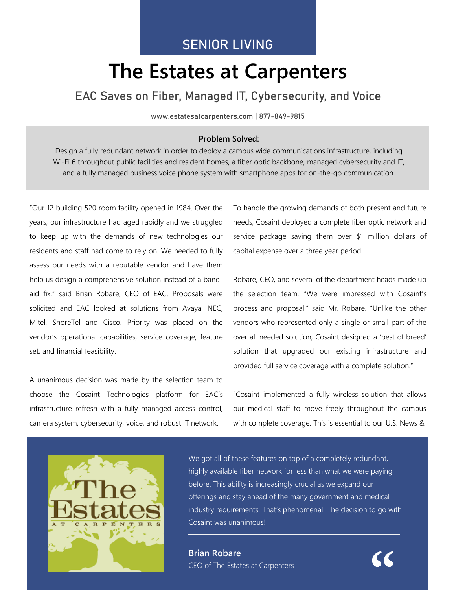## SENIOR LIVING

# **The Estates at Carpenters**

### EAC Saves on Fiber, Managed IT, Cybersecurity, and Voice

#### www.estatesatcarpenters.com | 877-849-9815

#### **Problem Solved:**

Design a fully redundant network in order to deploy a campus wide communications infrastructure, including Wi-Fi 6 throughout public facilities and resident homes, a fiber optic backbone, managed cybersecurity and IT, and a fully managed business voice phone system with smartphone apps for on-the-go communication.

"Our 12 building 520 room facility opened in 1984. Over the years, our infrastructure had aged rapidly and we struggled to keep up with the demands of new technologies our residents and staff had come to rely on. We needed to fully assess our needs with a reputable vendor and have them help us design a comprehensive solution instead of a bandaid fix," said Brian Robare, CEO of EAC. Proposals were solicited and EAC looked at solutions from Avaya, NEC, Mitel, ShoreTel and Cisco. Priority was placed on the vendor's operational capabilities, service coverage, feature set, and financial feasibility.

A unanimous decision was made by the selection team to choose the Cosaint Technologies platform for EAC's infrastructure refresh with a fully managed access control, camera system, cybersecurity, voice, and robust IT network.

To handle the growing demands of both present and future needs, Cosaint deployed a complete fiber optic network and service package saving them over \$1 million dollars of capital expense over a three year period.

Robare, CEO, and several of the department heads made up the selection team. "We were impressed with Cosaint's process and proposal." said Mr. Robare. "Unlike the other vendors who represented only a single or small part of the over all needed solution, Cosaint designed a 'best of breed' solution that upgraded our existing infrastructure and provided full service coverage with a complete solution."

"Cosaint implemented a fully wireless solution that allows our medical staff to move freely throughout the campus with complete coverage. This is essential to our U.S. News &



We got all of these features on top of a completely redundant, highly available fiber network for less than what we were paying before. This ability is increasingly crucial as we expand our offerings and stay ahead of the many government and medical industry requirements. That's phenomenal! The decision to go with Cosaint was unanimous!

**Brian Robare** CEO of The Estates at Carpenters